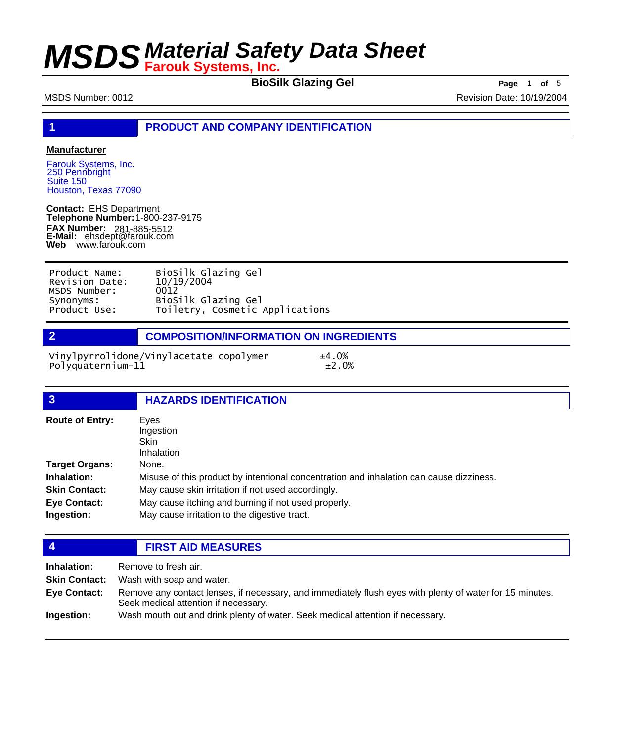**BioSilk Glazing Gel** Page 1 of 5

MSDS Number: 0012 Revision Date: 10/19/2004

**1 PRODUCT AND COMPANY IDENTIFICATION**

### **Manufacturer**

Farouk Systems, Inc. 250 Pennbright Suite 150 Houston, Texas 77090

**Contact:** EHS Department **Telephone Number:** 1-800-237-9175 **FAX Number: FAX Number:** 281-885-5512<br>**E-Mail:** ehsdept@farouk.com **Web** www.farouk.com

| Product Name:  | BioSilk Glazing Gel             |
|----------------|---------------------------------|
| Revision Date: | 10/19/2004                      |
| MSDS Number:   | 0012                            |
| Synonyms:      | BioSilk Glazing Gel             |
| Product Use:   | Toiletry, Cosmetic Applications |

**2 COMPOSITION/INFORMATION ON INGREDIENTS**

Vinylpyrrolidone/Vinylacetate copolymer  $\pm 4.0\%$ <br>Polyquaternium-11  $\pm 2.0\%$ Polyquaternium-11

| $\overline{3}$         | <b>HAZARDS IDENTIFICATION</b>                                                           |
|------------------------|-----------------------------------------------------------------------------------------|
| <b>Route of Entry:</b> | Eyes<br>Ingestion<br><b>Skin</b>                                                        |
|                        | Inhalation                                                                              |
| Target Organs:         | None.                                                                                   |
| <b>Inhalation:</b>     | Misuse of this product by intentional concentration and inhalation can cause dizziness. |
| <b>Skin Contact:</b>   | May cause skin irritation if not used accordingly.                                      |
| Eye Contact:           | May cause itching and burning if not used properly.                                     |
| Ingestion:             | May cause irritation to the digestive tract.                                            |

## **4 FIRST AID MEASURES**

| Inhalation:          | Remove to fresh air.                                                                                                                             |
|----------------------|--------------------------------------------------------------------------------------------------------------------------------------------------|
| <b>Skin Contact:</b> | Wash with soap and water.                                                                                                                        |
| <b>Eve Contact:</b>  | Remove any contact lenses, if necessary, and immediately flush eyes with plenty of water for 15 minutes.<br>Seek medical attention if necessary. |
| Ingestion:           | Wash mouth out and drink plenty of water. Seek medical attention if necessary.                                                                   |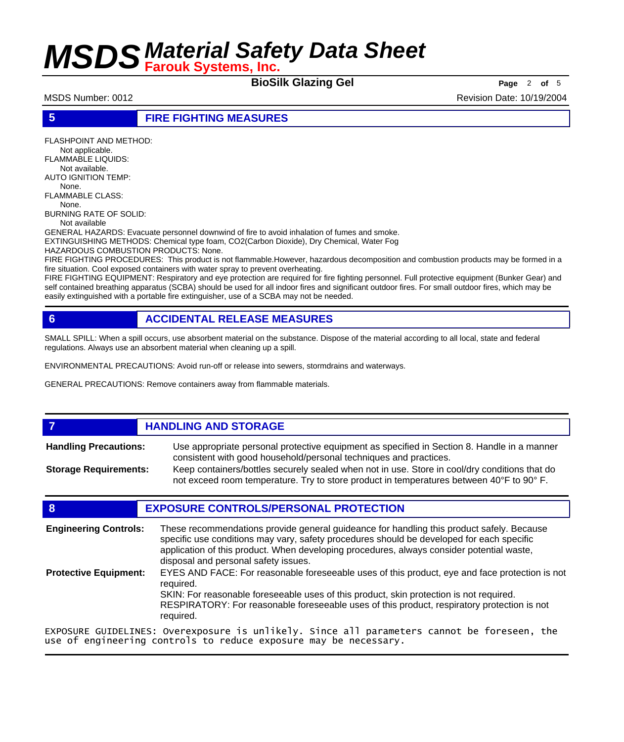**BioSilk Glazing Gel Page** <sup>2</sup> **of** <sup>5</sup>

MSDS Number: 0012 **Revision Date: 10/19/2004** Revision Date: 10/19/2004

### **5 FIRE FIGHTING MEASURES**

FLASHPOINT AND METHOD: Not applicable. FLAMMABLE LIQUIDS: Not available. AUTO IGNITION TEMP: None. FLAMMABLE CLASS: None. BURNING RATE OF SOLID: Not available GENERAL HAZARDS: Evacuate personnel downwind of fire to avoid inhalation of fumes and smoke. EXTINGUISHING METHODS: Chemical type foam, CO2(Carbon Dioxide), Dry Chemical, Water Fog HAZARDOUS COMBUSTION PRODUCTS: None.

FIRE FIGHTING PROCEDURES: This product is not flammable.However, hazardous decomposition and combustion products may be formed in a fire situation. Cool exposed containers with water spray to prevent overheating.

FIRE FIGHTING EQUIPMENT: Respiratory and eye protection are required for fire fighting personnel. Full protective equipment (Bunker Gear) and self contained breathing apparatus (SCBA) should be used for all indoor fires and significant outdoor fires. For small outdoor fires, which may be easily extinguished with a portable fire extinguisher, use of a SCBA may not be needed.

## **6 ACCIDENTAL RELEASE MEASURES**

SMALL SPILL: When a spill occurs, use absorbent material on the substance. Dispose of the material according to all local, state and federal regulations. Always use an absorbent material when cleaning up a spill.

ENVIRONMENTAL PRECAUTIONS: Avoid run-off or release into sewers, stormdrains and waterways.

GENERAL PRECAUTIONS: Remove containers away from flammable materials.

## *HANDLING AND STORAGE*

Use appropriate personal protective equipment as specified in Section 8. Handle in a manner consistent with good household/personal techniques and practices. **Handling Precautions:** Keep containers/bottles securely sealed when not in use. Store in cool/dry conditions that do **Storage Requirements:**

not exceed room temperature. Try to store product in temperatures between 40°F to 90° F.

## **8 EXPOSURE CONTROLS/PERSONAL PROTECTION**

These recommendations provide general guideance for handling this product safely. Because specific use conditions may vary, safety procedures should be developed for each specific application of this product. When developing procedures, always consider potential waste, disposal and personal safety issues. **Engineering Controls:** EYES AND FACE: For reasonable foreseeable uses of this product, eye and face protection is not required. SKIN: For reasonable foreseeable uses of this product, skin protection is not required. RESPIRATORY: For reasonable foreseeable uses of this product, respiratory protection is not required. **Protective Equipment:** EXPOSURE GUIDELINES: Overexposure is unlikely. Since all parameters cannot be foreseen, the

use of engineering controls to reduce exposure may be necessary.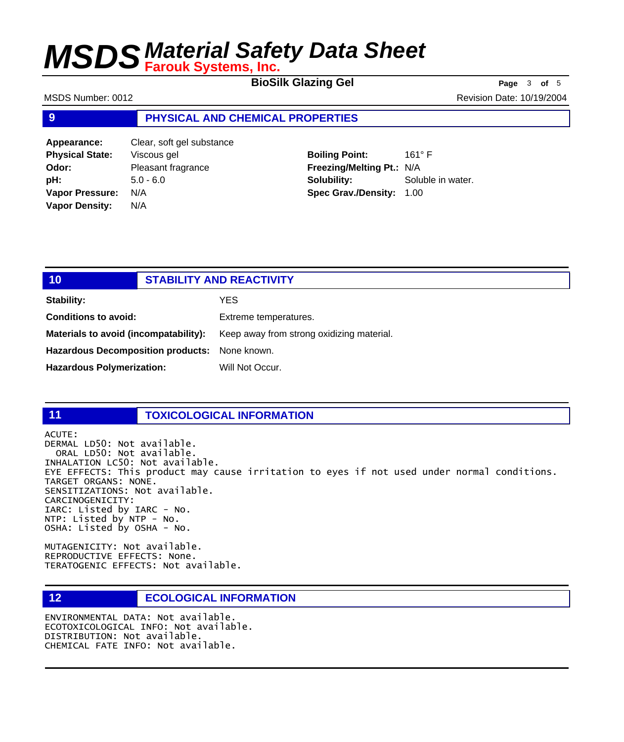**BioSilk Glazing Gel Page** <sup>3</sup> **of** <sup>5</sup>

MSDS Number: 0012 **MSDS Number: 0012** 

### **9 PHYSICAL AND CHEMICAL PROPERTIES**

| Appearance:            | Clear, soft gel substance |
|------------------------|---------------------------|
| <b>Physical State:</b> | Viscous gel               |
| Odor:                  | Pleasant fragrance        |
| pH:                    | $5.0 - 6.0$               |
| <b>Vapor Pressure:</b> | N/A                       |
| <b>Vapor Density:</b>  | N/A                       |
|                        |                           |

**Boiling Point:** 161° F **Freezing/Melting Pt.:** N/A **Solubility:** Soluble in water. **Spec Grav./Density:** 1.00

| 10                                            | <b>STABILITY AND REACTIVITY</b>           |
|-----------------------------------------------|-------------------------------------------|
| Stability:                                    | YES.                                      |
| <b>Conditions to avoid:</b>                   | Extreme temperatures.                     |
| Materials to avoid (incompatability):         | Keep away from strong oxidizing material. |
| Hazardous Decomposition products: None known. |                                           |
| <b>Hazardous Polymerization:</b>              | Will Not Occur.                           |

### **11 TOXICOLOGICAL INFORMATION**

ACUTE: DERMAL LD50: Not available. ORAL LD50: Not available. INHALATION LC50: Not available. EYE EFFECTS: This product may cause irritation to eyes if not used under normal conditions. TARGET ORGANS: NONE. SENSITIZATIONS: Not available. CARCINOGENICITY: IARC: Listed by IARC - No. NTP: Listed by NTP - No. OSHA: Listed by OSHA - No.

MUTAGENICITY: Not available. REPRODUCTIVE EFFECTS: None. TERATOGENIC EFFECTS: Not available.

## **12 ECOLOGICAL INFORMATION**

ENVIRONMENTAL DATA: Not available. ECOTOXICOLOGICAL INFO: Not available. DISTRIBUTION: Not available. CHEMICAL FATE INFO: Not available.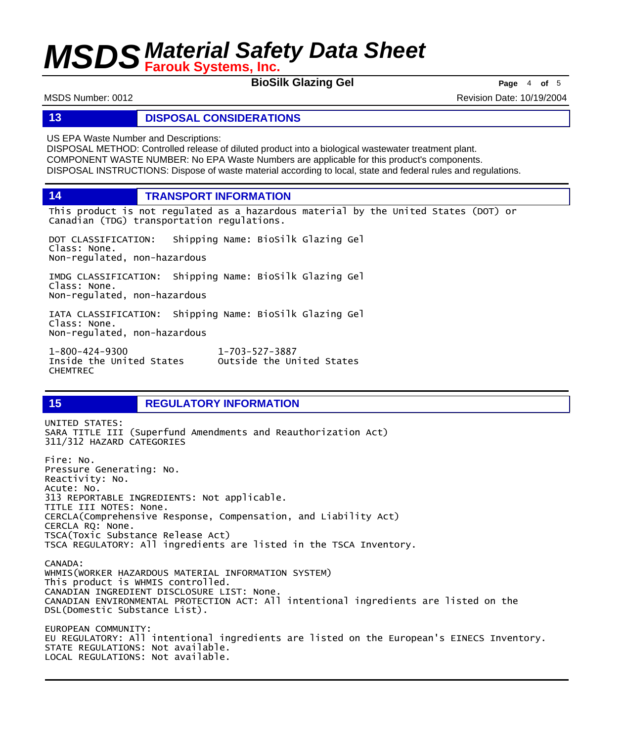**BioSilk Glazing Gel Page** <sup>4</sup> **of** <sup>5</sup>

MSDS Number: 0012 **Revision Date: 10/19/2004** Revision Date: 10/19/2004

### **13 DISPOSAL CONSIDERATIONS**

US EPA Waste Number and Descriptions:

DISPOSAL METHOD: Controlled release of diluted product into a biological wastewater treatment plant. COMPONENT WASTE NUMBER: No EPA Waste Numbers are applicable for this product's components. DISPOSAL INSTRUCTIONS: Dispose of waste material according to local, state and federal rules and regulations.

**14 TRANSPORT INFORMATION**

This product is not regulated as a hazardous material by the United States (DOT) or Canadian (TDG) transportation regulations.

DOT CLASSIFICATION: Shipping Name: BioSilk Glazing Gel Class: None. Non-regulated, non-hazardous

IMDG CLASSIFICATION: Shipping Name: BioSilk Glazing Gel Class: None. Non-regulated, non-hazardous

IATA CLASSIFICATION: Shipping Name: BioSilk Glazing Gel Class: None. Non-regulated, non-hazardous

1-800-424-9300 1-703-527-3887 Outside the United States CHEMTREC

## **15 REGULATORY INFORMATION**

UNITED STATES: SARA TITLE III (Superfund Amendments and Reauthorization Act) 311/312 HAZARD CATEGORIES Fire: No. Pressure Generating: No. Reactivity: No. Acute: No. 313 REPORTABLE INGREDIENTS: Not applicable. TITLE III NOTES: None. CERCLA(Comprehensive Response, Compensation, and Liability Act) CERCLA RQ: None. TSCA(Toxic Substance Release Act) TSCA REGULATORY: All ingredients are listed in the TSCA Inventory. CANADA: WHMIS(WORKER HAZARDOUS MATERIAL INFORMATION SYSTEM) This product is WHMIS controlled. CANADIAN INGREDIENT DISCLOSURE LIST: None. CANADIAN ENVIRONMENTAL PROTECTION ACT: All intentional ingredients are listed on the DSL(Domestic Substance List). EUROPEAN COMMUNITY: EU REGULATORY: All intentional ingredients are listed on the European's EINECS Inventory. STATE REGULATIONS: Not available. LOCAL REGULATIONS: Not available.